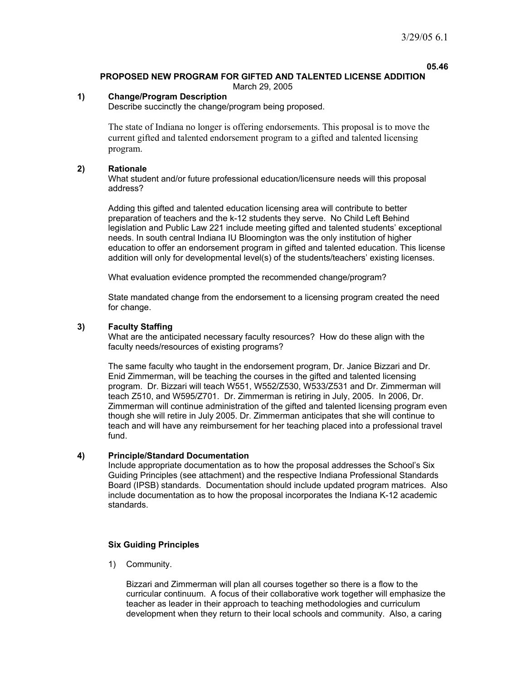**05.46** 

#### **PROPOSED NEW PROGRAM FOR GIFTED AND TALENTED LICENSE ADDITION**  March 29, 2005

## **1) Change/Program Description**

Describe succinctly the change/program being proposed.

The state of Indiana no longer is offering endorsements. This proposal is to move the current gifted and talented endorsement program to a gifted and talented licensing program.

### **2) Rationale**

What student and/or future professional education/licensure needs will this proposal address?

Adding this gifted and talented education licensing area will contribute to better preparation of teachers and the k-12 students they serve. No Child Left Behind legislation and Public Law 221 include meeting gifted and talented students' exceptional needs. In south central Indiana IU Bloomington was the only institution of higher education to offer an endorsement program in gifted and talented education. This license addition will only for developmental level(s) of the students/teachers' existing licenses.

What evaluation evidence prompted the recommended change/program?

State mandated change from the endorsement to a licensing program created the need for change.

### **3) Faculty Staffing**

What are the anticipated necessary faculty resources? How do these align with the faculty needs/resources of existing programs?

The same faculty who taught in the endorsement program, Dr. Janice Bizzari and Dr. Enid Zimmerman, will be teaching the courses in the gifted and talented licensing program. Dr. Bizzari will teach W551, W552/Z530, W533/Z531 and Dr. Zimmerman will teach Z510, and W595/Z701. Dr. Zimmerman is retiring in July, 2005. In 2006, Dr. Zimmerman will continue administration of the gifted and talented licensing program even though she will retire in July 2005. Dr. Zimmerman anticipates that she will continue to teach and will have any reimbursement for her teaching placed into a professional travel fund.

### **4) Principle/Standard Documentation**

Include appropriate documentation as to how the proposal addresses the School's Six Guiding Principles (see attachment) and the respective Indiana Professional Standards Board (IPSB) standards. Documentation should include updated program matrices. Also include documentation as to how the proposal incorporates the Indiana K-12 academic standards.

### **Six Guiding Principles**

1) Community.

Bizzari and Zimmerman will plan all courses together so there is a flow to the curricular continuum. A focus of their collaborative work together will emphasize the teacher as leader in their approach to teaching methodologies and curriculum development when they return to their local schools and community. Also, a caring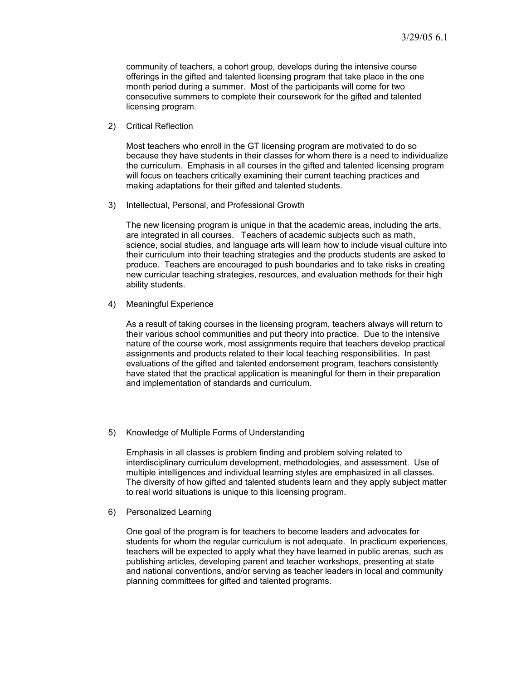community of teachers, a cohort group, develops during the intensive course offerings in the gifted and talented licensing program that take place in the one month period during a summer. Most of the participants will come for two consecutive summers to complete their coursework for the gifted and talented licensing program.

2) Critical Reflection

Most teachers who enroll in the GT licensing program are motivated to do so because they have students in their classes for whom there is a need to individualize the curriculum. Emphasis in all courses in the gifted and talented licensing program will focus on teachers critically examining their current teaching practices and making adaptations for their gifted and talented students.

3) Intellectual, Personal, and Professional Growth

The new licensing program is unique in that the academic areas, including the arts, are integrated in all courses. Teachers of academic subjects such as math, science, social studies, and language arts will learn how to include visual culture into their curriculum into their teaching strategies and the products students are asked to produce. Teachers are encouraged to push boundaries and to take risks in creating new curricular teaching strategies, resources, and evaluation methods for their high ability students.

4) Meaningful Experience

As a result of taking courses in the licensing program, teachers always will return to their various school communities and put theory into practice. Due to the intensive nature of the course work, most assignments require that teachers develop practical assignments and products related to their local teaching responsibilities. In past evaluations of the gifted and talented endorsement program, teachers consistently have stated that the practical application is meaningful for them in their preparation and implementation of standards and curriculum.

5) Knowledge of Multiple Forms of Understanding

Emphasis in all classes is problem finding and problem solving related to interdisciplinary curriculum development, methodologies, and assessment. Use of multiple intelligences and individual learning styles are emphasized in all classes. The diversity of how gifted and talented students learn and they apply subject matter to real world situations is unique to this licensing program.

6) Personalized Learning

One goal of the program is for teachers to become leaders and advocates for students for whom the regular curriculum is not adequate. In practicum experiences, teachers will be expected to apply what they have learned in public arenas, such as publishing articles, developing parent and teacher workshops, presenting at state and national conventions, and/or serving as teacher leaders in local and community planning committees for gifted and talented programs.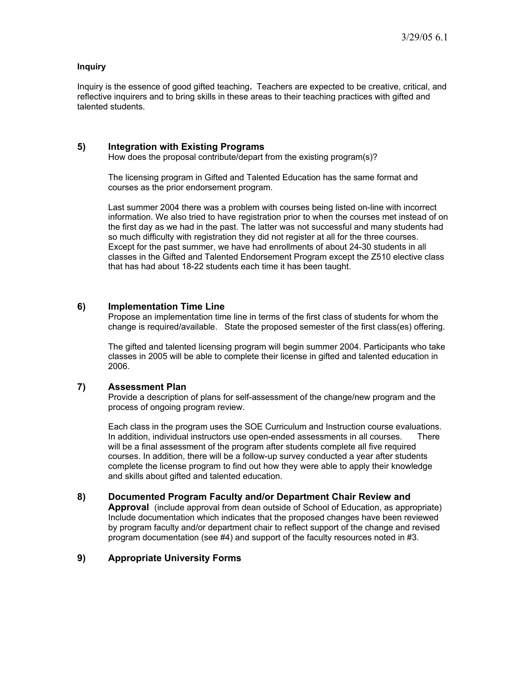## **Inquiry**

Inquiry is the essence of good gifted teaching**.** Teachers are expected to be creative, critical, and reflective inquirers and to bring skills in these areas to their teaching practices with gifted and talented students.

## **5) Integration with Existing Programs**

How does the proposal contribute/depart from the existing program(s)?

The licensing program in Gifted and Talented Education has the same format and courses as the prior endorsement program.

Last summer 2004 there was a problem with courses being listed on-line with incorrect information. We also tried to have registration prior to when the courses met instead of on the first day as we had in the past. The latter was not successful and many students had so much difficulty with registration they did not register at all for the three courses. Except for the past summer, we have had enrollments of about 24-30 students in all classes in the Gifted and Talented Endorsement Program except the Z510 elective class that has had about 18-22 students each time it has been taught.

### **6) Implementation Time Line**

Propose an implementation time line in terms of the first class of students for whom the change is required/available. State the proposed semester of the first class(es) offering.

The gifted and talented licensing program will begin summer 2004. Participants who take classes in 2005 will be able to complete their license in gifted and talented education in 2006.

### **7) Assessment Plan**

Provide a description of plans for self-assessment of the change/new program and the process of ongoing program review.

Each class in the program uses the SOE Curriculum and Instruction course evaluations. In addition, individual instructors use open-ended assessments in all courses. There will be a final assessment of the program after students complete all five required courses. In addition, there will be a follow-up survey conducted a year after students complete the license program to find out how they were able to apply their knowledge and skills about gifted and talented education.

### **8) Documented Program Faculty and/or Department Chair Review and**

**Approval** (include approval from dean outside of School of Education, as appropriate) Include documentation which indicates that the proposed changes have been reviewed by program faculty and/or department chair to reflect support of the change and revised program documentation (see #4) and support of the faculty resources noted in #3.

### **9) Appropriate University Forms**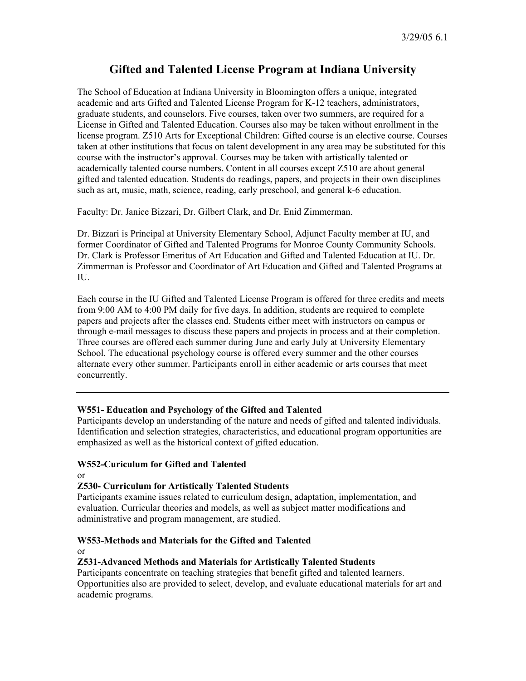# **Gifted and Talented License Program at Indiana University**

The School of Education at Indiana University in Bloomington offers a unique, integrated academic and arts Gifted and Talented License Program for K-12 teachers, administrators, graduate students, and counselors. Five courses, taken over two summers, are required for a License in Gifted and Talented Education. Courses also may be taken without enrollment in the license program. Z510 Arts for Exceptional Children: Gifted course is an elective course. Courses taken at other institutions that focus on talent development in any area may be substituted for this course with the instructor's approval. Courses may be taken with artistically talented or academically talented course numbers. Content in all courses except Z510 are about general gifted and talented education. Students do readings, papers, and projects in their own disciplines such as art, music, math, science, reading, early preschool, and general k-6 education.

Faculty: Dr. Janice Bizzari, Dr. Gilbert Clark, and Dr. Enid Zimmerman.

Dr. Bizzari is Principal at University Elementary School, Adjunct Faculty member at IU, and former Coordinator of Gifted and Talented Programs for Monroe County Community Schools. Dr. Clark is Professor Emeritus of Art Education and Gifted and Talented Education at IU. Dr. Zimmerman is Professor and Coordinator of Art Education and Gifted and Talented Programs at IU.

Each course in the IU Gifted and Talented License Program is offered for three credits and meets from 9:00 AM to 4:00 PM daily for five days. In addition, students are required to complete papers and projects after the classes end. Students either meet with instructors on campus or through e-mail messages to discuss these papers and projects in process and at their completion. Three courses are offered each summer during June and early July at University Elementary School. The educational psychology course is offered every summer and the other courses alternate every other summer. Participants enroll in either academic or arts courses that meet concurrently.

## **W551- Education and Psychology of the Gifted and Talented**

Participants develop an understanding of the nature and needs of gifted and talented individuals. Identification and selection strategies, characteristics, and educational program opportunities are emphasized as well as the historical context of gifted education.

### **W552-Curiculum for Gifted and Talented**

or

## **Z530- Curriculum for Artistically Talented Students**

Participants examine issues related to curriculum design, adaptation, implementation, and evaluation. Curricular theories and models, as well as subject matter modifications and administrative and program management, are studied.

## **W553-Methods and Materials for the Gifted and Talented**

or

### **Z531-Advanced Methods and Materials for Artistically Talented Students**

Participants concentrate on teaching strategies that benefit gifted and talented learners. Opportunities also are provided to select, develop, and evaluate educational materials for art and academic programs.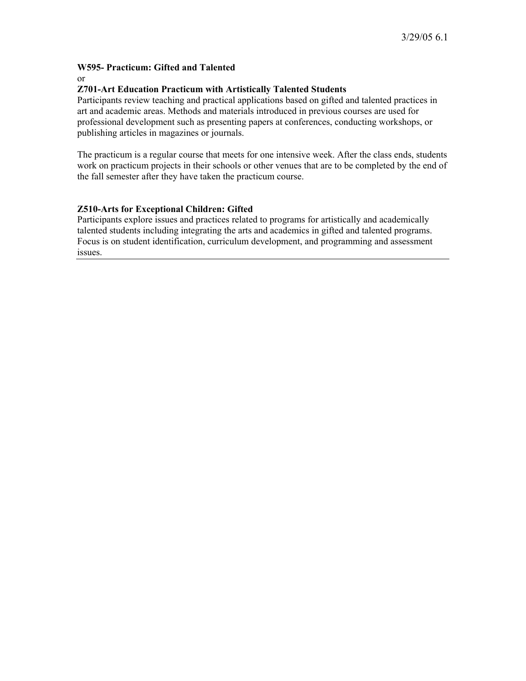# **W595- Practicum: Gifted and Talented**

or

# **Z701-Art Education Practicum with Artistically Talented Students**

Participants review teaching and practical applications based on gifted and talented practices in art and academic areas. Methods and materials introduced in previous courses are used for professional development such as presenting papers at conferences, conducting workshops, or publishing articles in magazines or journals.

The practicum is a regular course that meets for one intensive week. After the class ends, students work on practicum projects in their schools or other venues that are to be completed by the end of the fall semester after they have taken the practicum course.

# **Z510-Arts for Exceptional Children: Gifted**

Participants explore issues and practices related to programs for artistically and academically talented students including integrating the arts and academics in gifted and talented programs. Focus is on student identification, curriculum development, and programming and assessment issues.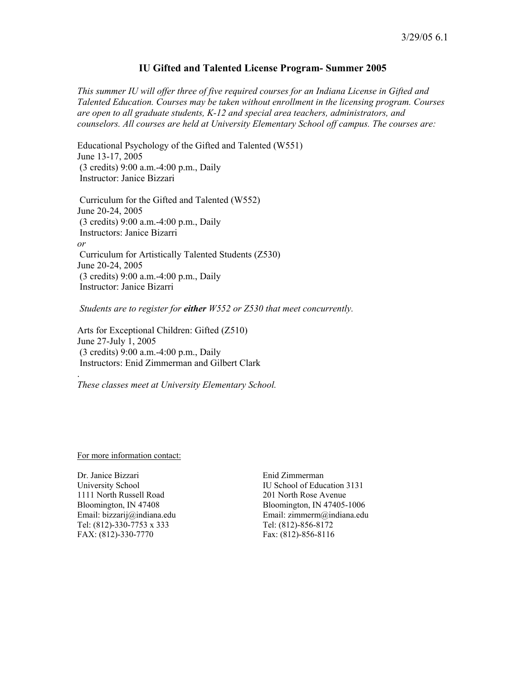## **IU Gifted and Talented License Program- Summer 2005**

*This summer IU will offer three of five required courses for an Indiana License in Gifted and Talented Education. Courses may be taken without enrollment in the licensing program. Courses are open to all graduate students, K-12 and special area teachers, administrators, and counselors. All courses are held at University Elementary School off campus. The courses are:* 

Educational Psychology of the Gifted and Talented (W551) June 13-17, 2005 (3 credits) 9:00 a.m.-4:00 p.m., Daily Instructor: Janice Bizzari

 Curriculum for the Gifted and Talented (W552) June 20-24, 2005 (3 credits) 9:00 a.m.-4:00 p.m., Daily Instructors: Janice Bizarri *or* Curriculum for Artistically Talented Students (Z530) June 20-24, 2005 (3 credits) 9:00 a.m.-4:00 p.m., Daily Instructor: Janice Bizarri

 *Students are to register for either W552 or Z530 that meet concurrently.* 

Arts for Exceptional Children: Gifted (Z510) June 27-July 1, 2005 (3 credits) 9:00 a.m.-4:00 p.m., Daily Instructors: Enid Zimmerman and Gilbert Clark

*These classes meet at University Elementary School.*

For more information contact:

.

Dr. Janice Bizzari Enid Zimmerman 1111 North Russell Road 201 North Rose Avenue Tel: (812)-330-7753 x 333<br>
FAX: (812)-330-7770 Fax: (812)-856-8116 FAX: (812)-330-7770

University School **IU** School **IU** School of Education 3131 Bloomington, IN 47408 Bloomington, IN 47405-1006 Email: bizzarij@indiana.edu Email: zimmerm@indiana.edu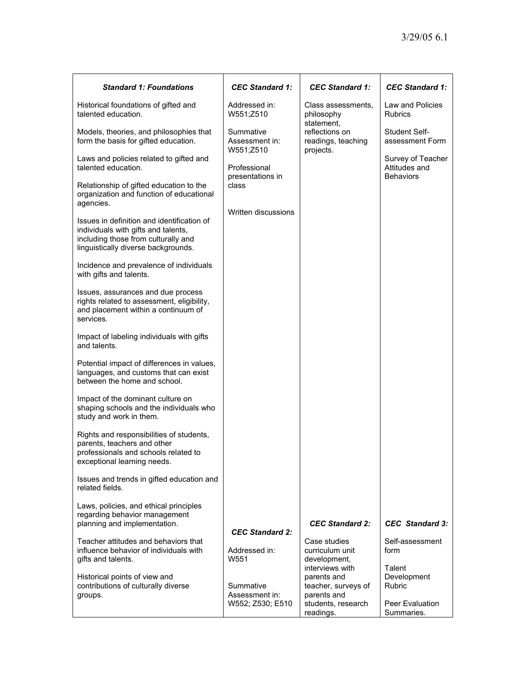| <b>Standard 1: Foundations</b>                                                                                                                                  | <b>CEC Standard 1:</b>                          | <b>CEC Standard 1:</b>                                               | <b>CEC Standard 1:</b>                                 |
|-----------------------------------------------------------------------------------------------------------------------------------------------------------------|-------------------------------------------------|----------------------------------------------------------------------|--------------------------------------------------------|
| Historical foundations of gifted and<br>talented education.                                                                                                     | Addressed in:<br>W551;Z510                      | Class assessments,<br>philosophy<br>statement,                       | Law and Policies<br><b>Rubrics</b>                     |
| Models, theories, and philosophies that<br>form the basis for gifted education.                                                                                 | Summative<br>Assessment in:<br>W551;Z510        | reflections on<br>readings, teaching<br>projects.                    | Student Self-<br>assessment Form                       |
| Laws and policies related to gifted and<br>talented education.                                                                                                  | Professional<br>presentations in                |                                                                      | Survey of Teacher<br>Attitudes and<br><b>Behaviors</b> |
| Relationship of gifted education to the<br>organization and function of educational<br>agencies.                                                                | class                                           |                                                                      |                                                        |
| Issues in definition and identification of<br>individuals with gifts and talents,<br>including those from culturally and<br>linguistically diverse backgrounds. | Written discussions                             |                                                                      |                                                        |
| Incidence and prevalence of individuals<br>with gifts and talents.                                                                                              |                                                 |                                                                      |                                                        |
| Issues, assurances and due process<br>rights related to assessment, eligibility,<br>and placement within a continuum of<br>services.                            |                                                 |                                                                      |                                                        |
| Impact of labeling individuals with gifts<br>and talents.                                                                                                       |                                                 |                                                                      |                                                        |
| Potential impact of differences in values,<br>languages, and customs that can exist<br>between the home and school.                                             |                                                 |                                                                      |                                                        |
| Impact of the dominant culture on<br>shaping schools and the individuals who<br>study and work in them.                                                         |                                                 |                                                                      |                                                        |
| Rights and responsibilities of students,<br>parents, teachers and other<br>professionals and schools related to<br>exceptional learning needs.                  |                                                 |                                                                      |                                                        |
| Issues and trends in gifted education and<br>related fields.                                                                                                    |                                                 |                                                                      |                                                        |
| Laws, policies, and ethical principles<br>regarding behavior management<br>planning and implementation.                                                         |                                                 | <b>CEC Standard 2:</b>                                               | CEC Standard 3:                                        |
| Teacher attitudes and behaviors that<br>influence behavior of individuals with<br>gifts and talents.                                                            | <b>CEC Standard 2:</b><br>Addressed in:<br>W551 | Case studies<br>curriculum unit<br>development,                      | Self-assessment<br>form                                |
| Historical points of view and<br>contributions of culturally diverse<br>groups.                                                                                 | Summative<br>Assessment in:                     | interviews with<br>parents and<br>teacher, surveys of<br>parents and | Talent<br>Development<br><b>Rubric</b>                 |
|                                                                                                                                                                 | W552; Z530; E510                                | students, research<br>readings.                                      | Peer Evaluation<br>Summaries.                          |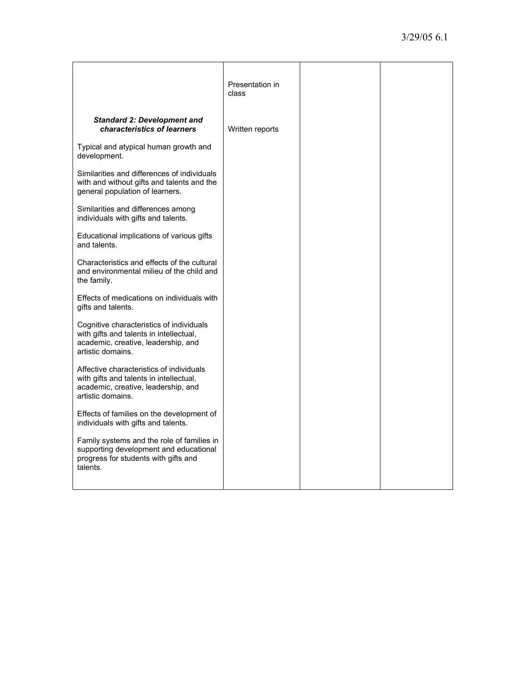|                                                                                                                                                 | Presentation in<br>class |  |
|-------------------------------------------------------------------------------------------------------------------------------------------------|--------------------------|--|
| <b>Standard 2: Development and</b><br>characteristics of learners                                                                               | Written reports          |  |
| Typical and atypical human growth and<br>development.                                                                                           |                          |  |
| Similarities and differences of individuals<br>with and without gifts and talents and the<br>general population of learners.                    |                          |  |
| Similarities and differences among<br>individuals with gifts and talents.                                                                       |                          |  |
| Educational implications of various gifts<br>and talents.                                                                                       |                          |  |
| Characteristics and effects of the cultural<br>and environmental milieu of the child and<br>the family.                                         |                          |  |
| Effects of medications on individuals with<br>gifts and talents.                                                                                |                          |  |
| Cognitive characteristics of individuals<br>with gifts and talents in intellectual,<br>academic, creative, leadership, and<br>artistic domains. |                          |  |
| Affective characteristics of individuals<br>with gifts and talents in intellectual,<br>academic, creative, leadership, and<br>artistic domains. |                          |  |
| Effects of families on the development of<br>individuals with gifts and talents.                                                                |                          |  |
| Family systems and the role of families in<br>supporting development and educational<br>progress for students with gifts and<br>talents.        |                          |  |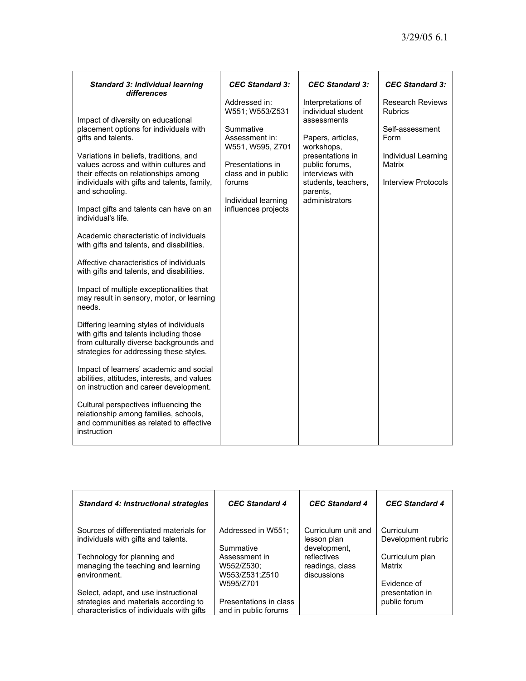| <b>Standard 3: Individual learning</b><br>differences                                                                                                                                                                                                                                                                                                                                                                                                                                                                                                                                                                                                                                                                                                                                                                                                                                                                                                                                                                                                                                                          | <b>CEC Standard 3:</b>                                                                                                                                                                 | <b>CEC Standard 3:</b>                                                                                                                                                                                   | <b>CEC Standard 3:</b>                                                                                                              |
|----------------------------------------------------------------------------------------------------------------------------------------------------------------------------------------------------------------------------------------------------------------------------------------------------------------------------------------------------------------------------------------------------------------------------------------------------------------------------------------------------------------------------------------------------------------------------------------------------------------------------------------------------------------------------------------------------------------------------------------------------------------------------------------------------------------------------------------------------------------------------------------------------------------------------------------------------------------------------------------------------------------------------------------------------------------------------------------------------------------|----------------------------------------------------------------------------------------------------------------------------------------------------------------------------------------|----------------------------------------------------------------------------------------------------------------------------------------------------------------------------------------------------------|-------------------------------------------------------------------------------------------------------------------------------------|
| Impact of diversity on educational<br>placement options for individuals with<br>gifts and talents.<br>Variations in beliefs, traditions, and<br>values across and within cultures and<br>their effects on relationships among<br>individuals with gifts and talents, family,<br>and schooling.<br>Impact gifts and talents can have on an<br>individual's life.<br>Academic characteristic of individuals<br>with gifts and talents, and disabilities.<br>Affective characteristics of individuals<br>with gifts and talents, and disabilities.<br>Impact of multiple exceptionalities that<br>may result in sensory, motor, or learning<br>needs.<br>Differing learning styles of individuals<br>with gifts and talents including those<br>from culturally diverse backgrounds and<br>strategies for addressing these styles.<br>Impact of learners' academic and social<br>abilities, attitudes, interests, and values<br>on instruction and career development.<br>Cultural perspectives influencing the<br>relationship among families, schools,<br>and communities as related to effective<br>instruction | Addressed in:<br>W551; W553/Z531<br>Summative<br>Assessment in:<br>W551, W595, Z701<br>Presentations in<br>class and in public<br>forums<br>Individual learning<br>influences projects | Interpretations of<br>individual student<br>assessments<br>Papers, articles,<br>workshops,<br>presentations in<br>public forums,<br>interviews with<br>students, teachers,<br>parents,<br>administrators | <b>Research Reviews</b><br><b>Rubrics</b><br>Self-assessment<br>Form<br>Individual Learning<br>Matrix<br><b>Interview Protocols</b> |

| <b>Standard 4: Instructional strategies</b>                                                                                | <b>CEC Standard 4</b>                                       | <b>CEC Standard 4</b>                              | <b>CEC Standard 4</b>                          |
|----------------------------------------------------------------------------------------------------------------------------|-------------------------------------------------------------|----------------------------------------------------|------------------------------------------------|
| Sources of differentiated materials for<br>individuals with gifts and talents.                                             | Addressed in W551;<br>Summative                             | Curriculum unit and<br>lesson plan<br>development, | Curriculum<br>Development rubric               |
| Technology for planning and<br>managing the teaching and learning<br>environment.                                          | Assessment in<br>W552/Z530:<br>W553/Z531;Z510               | reflectives<br>readings, class<br>discussions      | Curriculum plan<br>Matrix                      |
| Select, adapt, and use instructional<br>strategies and materials according to<br>characteristics of individuals with gifts | W595/Z701<br>Presentations in class<br>and in public forums |                                                    | Fvidence of<br>presentation in<br>public forum |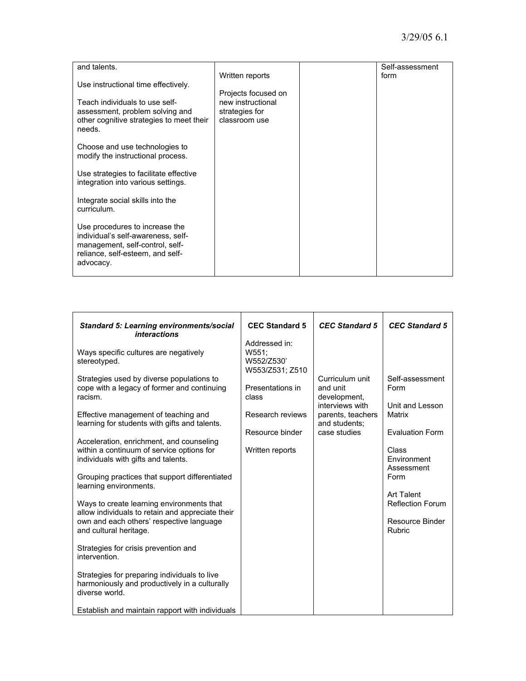| and talents.                             |                     | Self-assessment |
|------------------------------------------|---------------------|-----------------|
|                                          | Written reports     | form            |
|                                          |                     |                 |
| Use instructional time effectively.      |                     |                 |
|                                          | Projects focused on |                 |
| Teach individuals to use self-           | new instructional   |                 |
|                                          |                     |                 |
| assessment, problem solving and          | strategies for      |                 |
| other cognitive strategies to meet their | classroom use       |                 |
|                                          |                     |                 |
| needs.                                   |                     |                 |
|                                          |                     |                 |
| Choose and use technologies to           |                     |                 |
|                                          |                     |                 |
| modify the instructional process.        |                     |                 |
|                                          |                     |                 |
| Use strategies to facilitate effective   |                     |                 |
|                                          |                     |                 |
| integration into various settings.       |                     |                 |
|                                          |                     |                 |
|                                          |                     |                 |
| Integrate social skills into the         |                     |                 |
| curriculum.                              |                     |                 |
|                                          |                     |                 |
|                                          |                     |                 |
| Use procedures to increase the           |                     |                 |
| individual's self-awareness, self-       |                     |                 |
| management, self-control, self-          |                     |                 |
|                                          |                     |                 |
| reliance, self-esteem, and self-         |                     |                 |
| advocacy.                                |                     |                 |
|                                          |                     |                 |
|                                          |                     |                 |

| <b>Standard 5: Learning environments/social</b><br><i>interactions</i>                                                                                                                                                                                                                                                                                                                                                                                                                                                                                                                                                                                                                                                                                                                                               | <b>CEC Standard 5</b>                                                                                                                          | <b>CEC Standard 5</b>                                                                                                | <b>CEC Standard 5</b>                                                                                                                                                                                                          |
|----------------------------------------------------------------------------------------------------------------------------------------------------------------------------------------------------------------------------------------------------------------------------------------------------------------------------------------------------------------------------------------------------------------------------------------------------------------------------------------------------------------------------------------------------------------------------------------------------------------------------------------------------------------------------------------------------------------------------------------------------------------------------------------------------------------------|------------------------------------------------------------------------------------------------------------------------------------------------|----------------------------------------------------------------------------------------------------------------------|--------------------------------------------------------------------------------------------------------------------------------------------------------------------------------------------------------------------------------|
| Ways specific cultures are negatively<br>stereotyped.<br>Strategies used by diverse populations to<br>cope with a legacy of former and continuing<br>racism.<br>Effective management of teaching and<br>learning for students with gifts and talents.<br>Acceleration, enrichment, and counseling<br>within a continuum of service options for<br>individuals with gifts and talents.<br>Grouping practices that support differentiated<br>learning environments.<br>Ways to create learning environments that<br>allow individuals to retain and appreciate their<br>own and each others' respective language<br>and cultural heritage.<br>Strategies for crisis prevention and<br>intervention.<br>Strategies for preparing individuals to live<br>harmoniously and productively in a culturally<br>diverse world. | Addressed in:<br>W551;<br>W552/Z530'<br>W553/Z531; Z510<br>Presentations in<br>class<br>Research reviews<br>Resource binder<br>Written reports | Curriculum unit<br>and unit<br>development,<br>interviews with<br>parents, teachers<br>and students:<br>case studies | Self-assessment<br>Form<br>Unit and Lesson<br><b>Matrix</b><br><b>Evaluation Form</b><br>Class<br><b>Fnvironment</b><br>Assessment<br>Form<br><b>Art Talent</b><br><b>Reflection Forum</b><br>Resource Binder<br><b>Rubric</b> |
| Establish and maintain rapport with individuals                                                                                                                                                                                                                                                                                                                                                                                                                                                                                                                                                                                                                                                                                                                                                                      |                                                                                                                                                |                                                                                                                      |                                                                                                                                                                                                                                |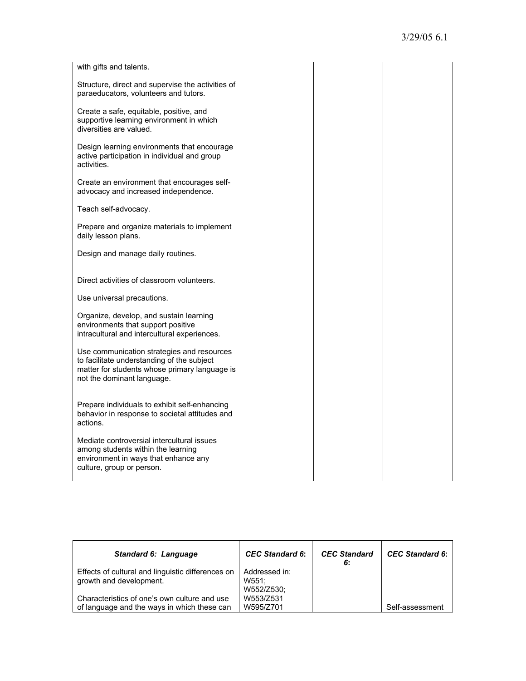| with gifts and talents.                                                                                                                                                 |  |  |
|-------------------------------------------------------------------------------------------------------------------------------------------------------------------------|--|--|
| Structure, direct and supervise the activities of<br>paraeducators, volunteers and tutors.                                                                              |  |  |
| Create a safe, equitable, positive, and<br>supportive learning environment in which<br>diversities are valued.                                                          |  |  |
| Design learning environments that encourage<br>active participation in individual and group<br>activities.                                                              |  |  |
| Create an environment that encourages self-<br>advocacy and increased independence.                                                                                     |  |  |
| Teach self-advocacy.                                                                                                                                                    |  |  |
| Prepare and organize materials to implement<br>daily lesson plans.                                                                                                      |  |  |
| Design and manage daily routines.                                                                                                                                       |  |  |
| Direct activities of classroom volunteers.                                                                                                                              |  |  |
| Use universal precautions.                                                                                                                                              |  |  |
| Organize, develop, and sustain learning<br>environments that support positive<br>intracultural and intercultural experiences.                                           |  |  |
| Use communication strategies and resources<br>to facilitate understanding of the subject<br>matter for students whose primary language is<br>not the dominant language. |  |  |
| Prepare individuals to exhibit self-enhancing<br>behavior in response to societal attitudes and<br>actions.                                                             |  |  |
| Mediate controversial intercultural issues<br>among students within the learning<br>environment in ways that enhance any<br>culture, group or person.                   |  |  |

| <b>Standard 6: Language</b>                                                                 | <b>CEC</b> Standard 6:               | <b>CEC Standard</b><br>6: | <b>CEC Standard 6:</b> |
|---------------------------------------------------------------------------------------------|--------------------------------------|---------------------------|------------------------|
| Effects of cultural and linguistic differences on<br>growth and development.                | Addressed in:<br>W551:<br>W552/Z530; |                           |                        |
| Characteristics of one's own culture and use<br>of language and the ways in which these can | W553/Z531<br>W595/Z701               |                           | Self-assessment        |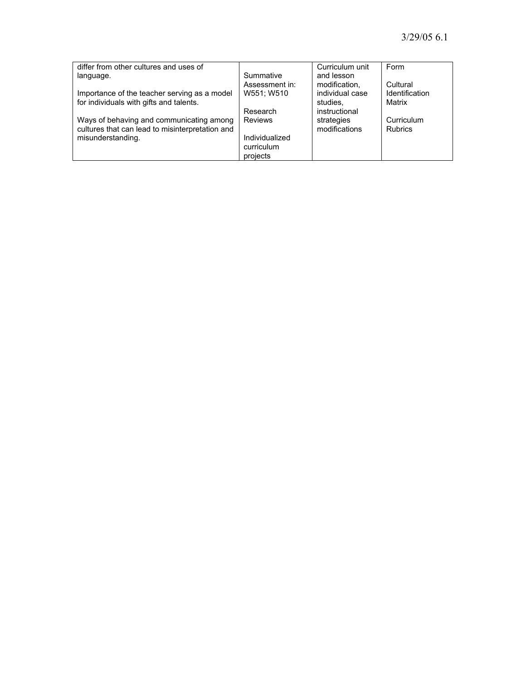| differ from other cultures and uses of          |                              | Curriculum unit                  | Form                       |
|-------------------------------------------------|------------------------------|----------------------------------|----------------------------|
| language.                                       | Summative                    | and lesson                       |                            |
| Importance of the teacher serving as a model    | Assessment in:<br>W551; W510 | modification,<br>individual case | Cultural<br>Identification |
| for individuals with gifts and talents.         |                              | studies.                         | Matrix                     |
|                                                 | Research                     | instructional                    |                            |
| Ways of behaving and communicating among        | <b>Reviews</b>               | strategies                       | Curriculum                 |
| cultures that can lead to misinterpretation and |                              | modifications                    | <b>Rubrics</b>             |
| misunderstanding.                               | Individualized               |                                  |                            |
|                                                 | curriculum                   |                                  |                            |
|                                                 | projects                     |                                  |                            |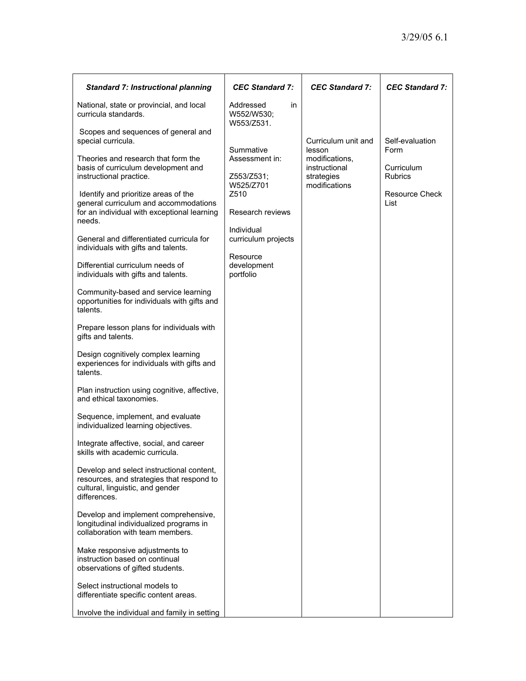| <b>Standard 7: Instructional planning</b>                                                                                                  | <b>CEC Standard 7:</b>                       | <b>CEC Standard 7:</b>                        | <b>CEC Standard 7:</b>       |
|--------------------------------------------------------------------------------------------------------------------------------------------|----------------------------------------------|-----------------------------------------------|------------------------------|
| National, state or provincial, and local<br>curricula standards.                                                                           | Addressed<br>in.<br>W552/W530;<br>W553/Z531. |                                               |                              |
| Scopes and sequences of general and<br>special curricula.                                                                                  | Summative                                    | Curriculum unit and<br>lesson                 | Self-evaluation<br>Form      |
| Theories and research that form the<br>basis of curriculum development and<br>instructional practice.                                      | Assessment in:<br>Z553/Z531;                 | modifications,<br>instructional<br>strategies | Curriculum<br><b>Rubrics</b> |
| Identify and prioritize areas of the<br>general curriculum and accommodations<br>for an individual with exceptional learning               | W525/Z701<br>Z510<br>Research reviews        | modifications                                 | Resource Check<br>List       |
| needs.<br>General and differentiated curricula for                                                                                         | Individual<br>curriculum projects            |                                               |                              |
| individuals with gifts and talents.<br>Differential curriculum needs of<br>individuals with gifts and talents.                             | Resource<br>development<br>portfolio         |                                               |                              |
| Community-based and service learning<br>opportunities for individuals with gifts and<br>talents.                                           |                                              |                                               |                              |
| Prepare lesson plans for individuals with<br>gifts and talents.                                                                            |                                              |                                               |                              |
| Design cognitively complex learning<br>experiences for individuals with gifts and<br>talents.                                              |                                              |                                               |                              |
| Plan instruction using cognitive, affective,<br>and ethical taxonomies.                                                                    |                                              |                                               |                              |
| Sequence, implement, and evaluate<br>individualized learning objectives.                                                                   |                                              |                                               |                              |
| Integrate affective, social, and career<br>skills with academic curricula.                                                                 |                                              |                                               |                              |
| Develop and select instructional content,<br>resources, and strategies that respond to<br>cultural, linguistic, and gender<br>differences. |                                              |                                               |                              |
| Develop and implement comprehensive,<br>longitudinal individualized programs in<br>collaboration with team members.                        |                                              |                                               |                              |
| Make responsive adjustments to<br>instruction based on continual<br>observations of gifted students.                                       |                                              |                                               |                              |
| Select instructional models to<br>differentiate specific content areas.                                                                    |                                              |                                               |                              |
| Involve the individual and family in setting                                                                                               |                                              |                                               |                              |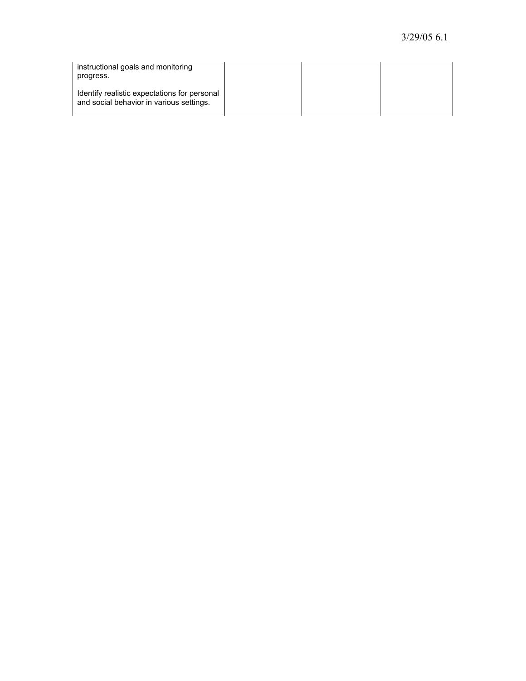| instructional goals and monitoring<br>progress.                                          |  |  |
|------------------------------------------------------------------------------------------|--|--|
| Identify realistic expectations for personal<br>and social behavior in various settings. |  |  |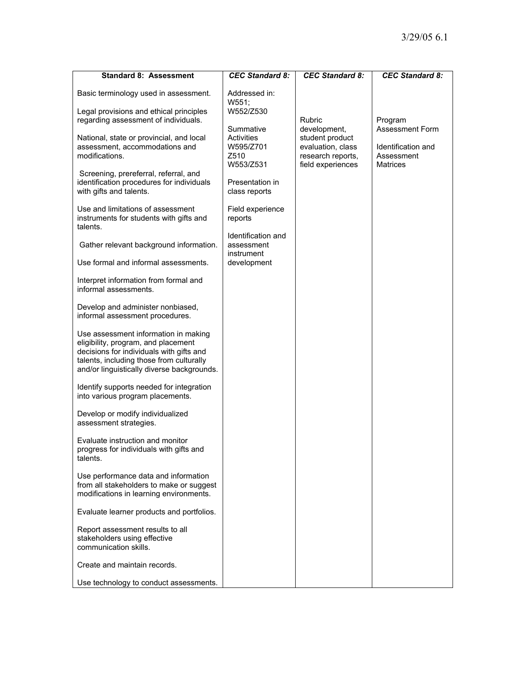| <b>Standard 8: Assessment</b>                                                                                                                                                                                     | <b>CEC Standard 8:</b>                                    | <b>CEC Standard 8:</b>                                                                         | <b>CEC Standard 8:</b>                                                 |
|-------------------------------------------------------------------------------------------------------------------------------------------------------------------------------------------------------------------|-----------------------------------------------------------|------------------------------------------------------------------------------------------------|------------------------------------------------------------------------|
| Basic terminology used in assessment.                                                                                                                                                                             | Addressed in:<br>W551:                                    |                                                                                                |                                                                        |
| Legal provisions and ethical principles<br>regarding assessment of individuals.                                                                                                                                   | W552/Z530                                                 | <b>Rubric</b>                                                                                  | Program                                                                |
| National, state or provincial, and local<br>assessment, accommodations and<br>modifications.                                                                                                                      | Summative<br>Activities<br>W595/Z701<br>Z510<br>W553/Z531 | development,<br>student product<br>evaluation, class<br>research reports,<br>field experiences | <b>Assessment Form</b><br>Identification and<br>Assessment<br>Matrices |
| Screening, prereferral, referral, and<br>identification procedures for individuals<br>with gifts and talents.                                                                                                     | Presentation in<br>class reports                          |                                                                                                |                                                                        |
| Use and limitations of assessment<br>instruments for students with gifts and<br>talents.                                                                                                                          | Field experience<br>reports                               |                                                                                                |                                                                        |
| Gather relevant background information.                                                                                                                                                                           | Identification and<br>assessment<br>instrument            |                                                                                                |                                                                        |
| Use formal and informal assessments.                                                                                                                                                                              | development                                               |                                                                                                |                                                                        |
| Interpret information from formal and<br>informal assessments.                                                                                                                                                    |                                                           |                                                                                                |                                                                        |
| Develop and administer nonbiased,<br>informal assessment procedures.                                                                                                                                              |                                                           |                                                                                                |                                                                        |
| Use assessment information in making<br>eligibility, program, and placement<br>decisions for individuals with gifts and<br>talents, including those from culturally<br>and/or linguistically diverse backgrounds. |                                                           |                                                                                                |                                                                        |
| Identify supports needed for integration<br>into various program placements.                                                                                                                                      |                                                           |                                                                                                |                                                                        |
| Develop or modify individualized<br>assessment strategies.                                                                                                                                                        |                                                           |                                                                                                |                                                                        |
| Evaluate instruction and monitor<br>progress for individuals with gifts and<br>talents.                                                                                                                           |                                                           |                                                                                                |                                                                        |
| Use performance data and information<br>from all stakeholders to make or suggest<br>modifications in learning environments.                                                                                       |                                                           |                                                                                                |                                                                        |
| Evaluate learner products and portfolios.                                                                                                                                                                         |                                                           |                                                                                                |                                                                        |
| Report assessment results to all<br>stakeholders using effective<br>communication skills.                                                                                                                         |                                                           |                                                                                                |                                                                        |
| Create and maintain records.                                                                                                                                                                                      |                                                           |                                                                                                |                                                                        |
| Use technology to conduct assessments.                                                                                                                                                                            |                                                           |                                                                                                |                                                                        |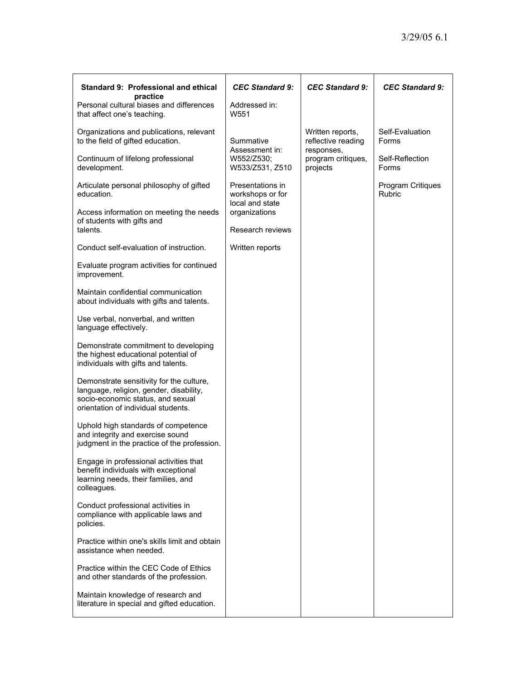| Standard 9: Professional and ethical<br>practice                                                                                                                | <b>CEC Standard 9:</b>                          | <b>CEC Standard 9:</b>                       | <b>CEC Standard 9:</b>             |
|-----------------------------------------------------------------------------------------------------------------------------------------------------------------|-------------------------------------------------|----------------------------------------------|------------------------------------|
| Personal cultural biases and differences<br>that affect one's teaching.                                                                                         | Addressed in:<br>W551                           |                                              |                                    |
| Organizations and publications, relevant<br>to the field of gifted education.                                                                                   | Summative                                       | Written reports,<br>reflective reading       | Self-Evaluation<br>Forms           |
| Continuum of lifelong professional<br>development.                                                                                                              | Assessment in:<br>W552/Z530:<br>W533/Z531, Z510 | responses,<br>program critiques,<br>projects | Self-Reflection<br>Forms           |
| Articulate personal philosophy of gifted<br>education.                                                                                                          | Presentations in<br>workshops or for            |                                              | Program Critiques<br><b>Rubric</b> |
| Access information on meeting the needs<br>of students with gifts and                                                                                           | local and state<br>organizations                |                                              |                                    |
| talents.                                                                                                                                                        | Research reviews                                |                                              |                                    |
| Conduct self-evaluation of instruction.                                                                                                                         | Written reports                                 |                                              |                                    |
| Evaluate program activities for continued<br>improvement.                                                                                                       |                                                 |                                              |                                    |
| Maintain confidential communication<br>about individuals with gifts and talents.                                                                                |                                                 |                                              |                                    |
| Use verbal, nonverbal, and written<br>language effectively.                                                                                                     |                                                 |                                              |                                    |
| Demonstrate commitment to developing<br>the highest educational potential of<br>individuals with gifts and talents.                                             |                                                 |                                              |                                    |
| Demonstrate sensitivity for the culture,<br>language, religion, gender, disability,<br>socio-economic status, and sexual<br>orientation of individual students. |                                                 |                                              |                                    |
| Uphold high standards of competence<br>and integrity and exercise sound<br>judgment in the practice of the profession.                                          |                                                 |                                              |                                    |
| Engage in professional activities that<br>benefit individuals with exceptional<br>learning needs, their families, and<br>colleagues.                            |                                                 |                                              |                                    |
| Conduct professional activities in<br>compliance with applicable laws and<br>policies.                                                                          |                                                 |                                              |                                    |
| Practice within one's skills limit and obtain<br>assistance when needed.                                                                                        |                                                 |                                              |                                    |
| Practice within the CEC Code of Ethics<br>and other standards of the profession.                                                                                |                                                 |                                              |                                    |
| Maintain knowledge of research and<br>literature in special and gifted education.                                                                               |                                                 |                                              |                                    |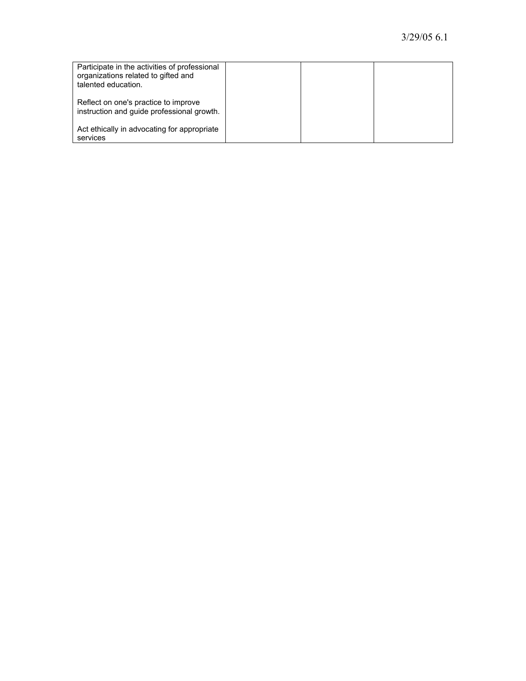| Participate in the activities of professional<br>organizations related to gifted and<br>talented education. |  |  |
|-------------------------------------------------------------------------------------------------------------|--|--|
| Reflect on one's practice to improve<br>instruction and guide professional growth.                          |  |  |
| Act ethically in advocating for appropriate<br>services                                                     |  |  |